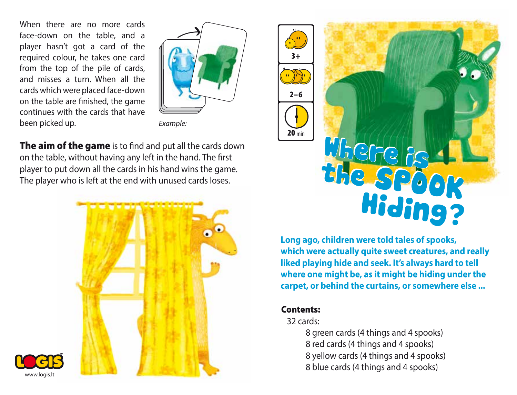When there are no more cards face-down on the table, and a player hasn't got a card of the required colour, he takes one card from the top of the pile of cards, and misses a turn. When all the cards which were placed face-down on the table are finished, the game continues with the cards that have been picked up.

www.logis.lt



*Example:*

The aim of the game is to find and put all the cards down on the table, without having any left in the hand. The first player to put down all the cards in his hand wins the game. The player who is left at the end with unused cards loses.





**Long ago, children were told tales of spooks, which were actually quite sweet creatures, and really liked playing hide and seek. It's always hard to tell where one might be, as it might be hiding under the carpet, or behind the curtains, or somewhere else ...** 

## Contents:

32 cards:

 8 green cards (4 things and 4 spooks) 8 red cards (4 things and 4 spooks) 8 yellow cards (4 things and 4 spooks) 8 blue cards (4 things and 4 spooks)